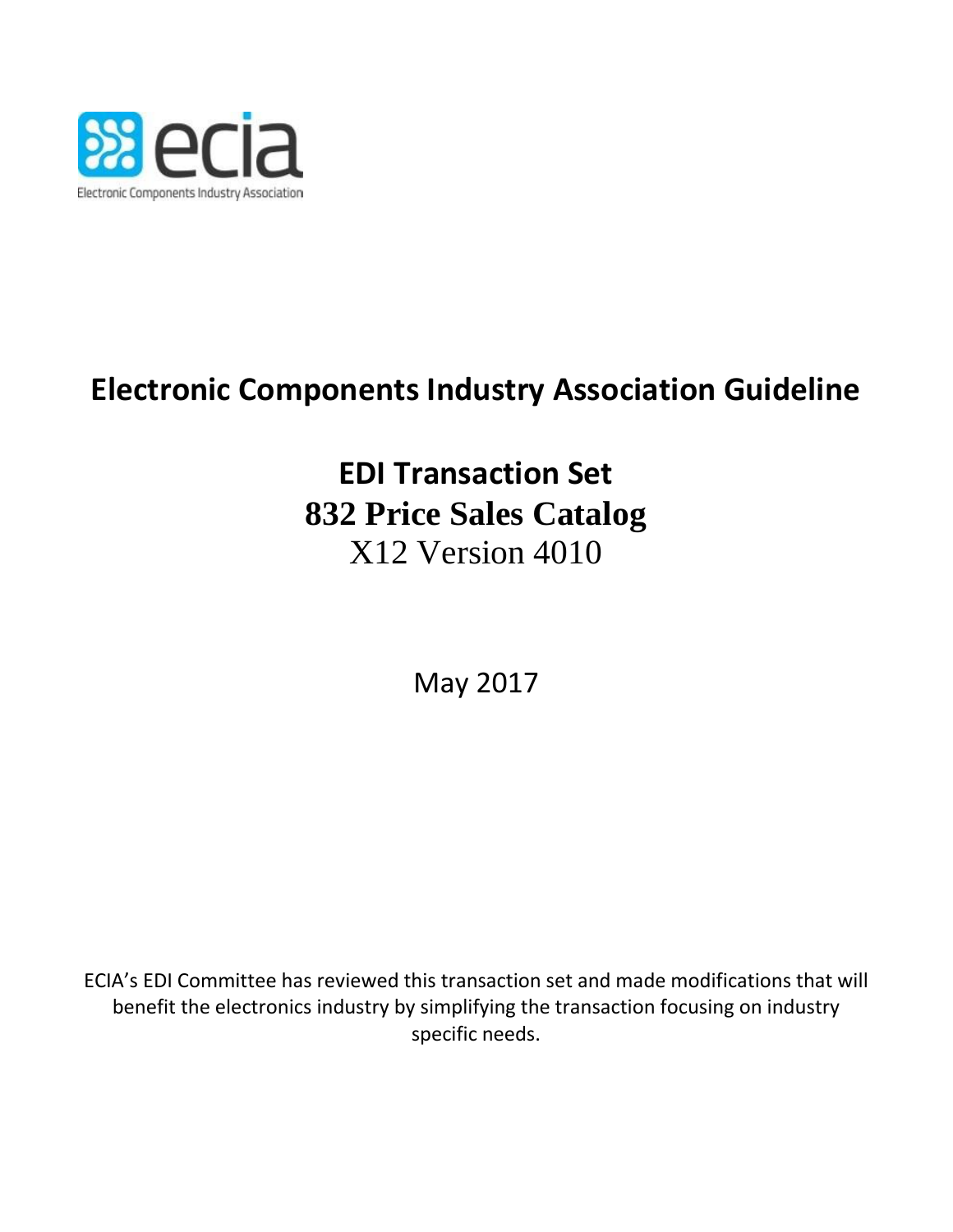

# **Electronic Components Industry Association Guideline**

# **EDI Transaction Set 832 Price Sales Catalog** X12 Version 4010

May 2017

ECIA's EDI Committee has reviewed this transaction set and made modifications that will benefit the electronics industry by simplifying the transaction focusing on industry specific needs.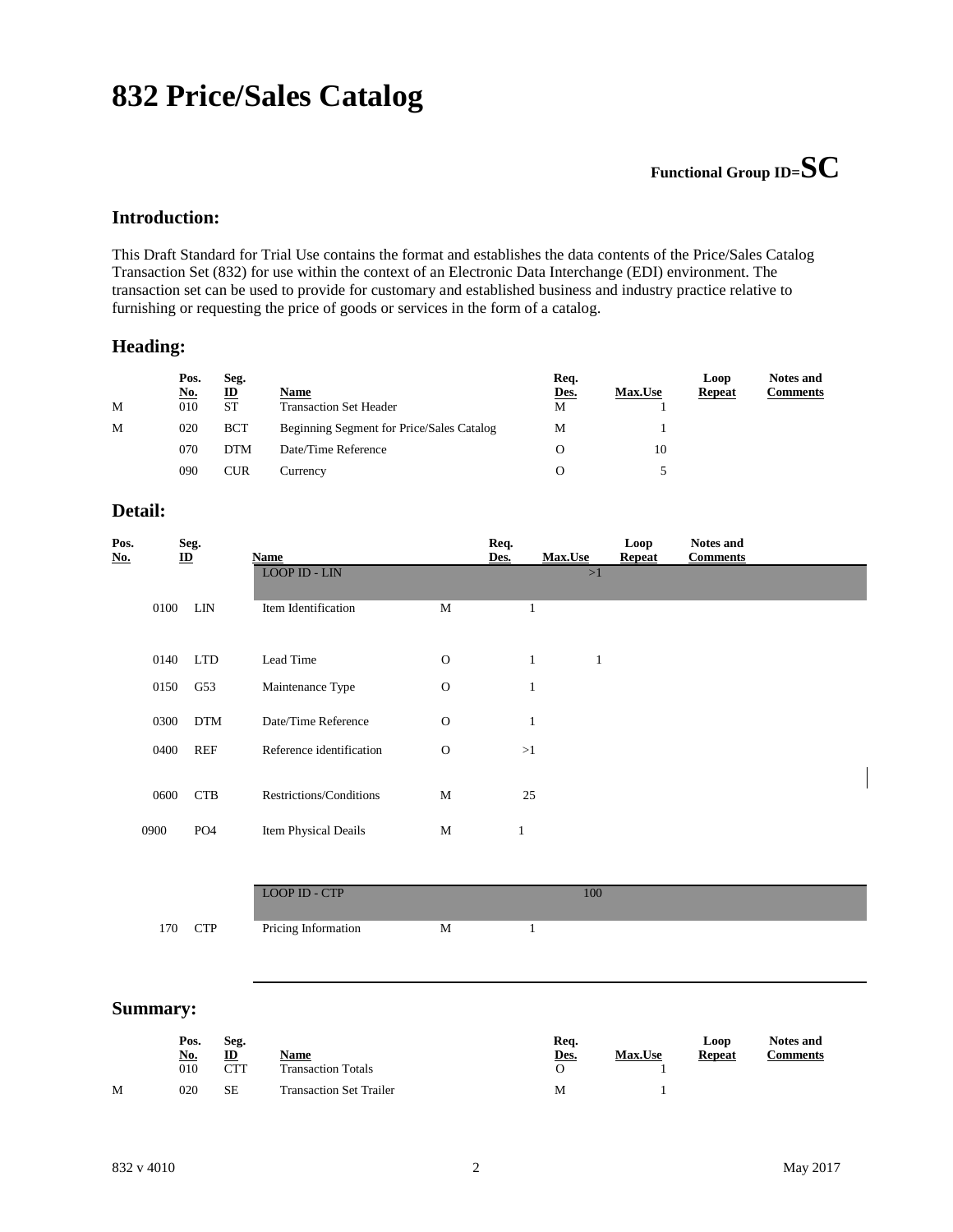## **832 Price/Sales Catalog**

## **Functional Group ID=SC**

### **Introduction:**

This Draft Standard for Trial Use contains the format and establishes the data contents of the Price/Sales Catalog Transaction Set (832) for use within the context of an Electronic Data Interchange (EDI) environment. The transaction set can be used to provide for customary and established business and industry practice relative to furnishing or requesting the price of goods or services in the form of a catalog.

### **Heading:**

|   | Pos.<br><u>No.</u> | Seg.<br>ID | Name                                      | Req.<br>Des. | <b>Max.Use</b> | Loop<br><b>Repeat</b> | <b>Notes and</b><br><b>Comments</b> |
|---|--------------------|------------|-------------------------------------------|--------------|----------------|-----------------------|-------------------------------------|
| M | 010                | <b>ST</b>  | <b>Transaction Set Header</b>             | M            |                |                       |                                     |
| M | 020                | <b>BCT</b> | Beginning Segment for Price/Sales Catalog | М            |                |                       |                                     |
|   | 070                | <b>DTM</b> | Date/Time Reference                       | O            | 10             |                       |                                     |
|   | 090                | CUR        | Currency                                  | O            |                |                       |                                     |

### **Detail:**

| Pos.<br><u>No.</u> | $\underline{\mathbf{ID}}$ | Seg.            | Name                     |              | Req.<br>Des. | Max.Use      | Loop<br><b>Repeat</b> | <b>Notes and</b><br><b>Comments</b> |  |
|--------------------|---------------------------|-----------------|--------------------------|--------------|--------------|--------------|-----------------------|-------------------------------------|--|
|                    |                           |                 | LOOP ID - LIN            |              |              | >1           |                       |                                     |  |
|                    | 0100                      | <b>LIN</b>      | Item Identification      | M            | 1            |              |                       |                                     |  |
|                    |                           |                 |                          |              |              |              |                       |                                     |  |
|                    | 0140                      | <b>LTD</b>      | Lead Time                | $\mathbf{O}$ | $\mathbf{1}$ | $\mathbf{1}$ |                       |                                     |  |
|                    | 0150                      | G53             | Maintenance Type         | $\mathbf{O}$ | $\mathbf{1}$ |              |                       |                                     |  |
|                    | 0300                      | $DTM$           | Date/Time Reference      | $\Omega$     | 1            |              |                       |                                     |  |
|                    | 0400                      | <b>REF</b>      | Reference identification | $\mathbf{O}$ | >1           |              |                       |                                     |  |
|                    | 0600                      | <b>CTB</b>      | Restrictions/Conditions  | M            | 25           |              |                       |                                     |  |
|                    |                           |                 |                          |              |              |              |                       |                                     |  |
| 0900               |                           | PO <sub>4</sub> | Item Physical Deails     | M            | $\mathbf{1}$ |              |                       |                                     |  |
|                    |                           |                 |                          |              |              |              |                       |                                     |  |
|                    |                           |                 | <b>LOOP ID - CTP</b>     |              |              | 100          |                       |                                     |  |
|                    | 170                       | <b>CTP</b>      | Pricing Information      | M            | 1            |              |                       |                                     |  |

#### **Summary:**

|   | Pos.<br><u>No.</u><br>010 | Seg.<br>$\mathbf{D}$<br>CTT | Name<br><b>Transaction Totals</b> | Req.<br><u>Des.</u> | <b>Max.Use</b> | Loop<br>Repeat | <b>Notes and</b><br><b>Comments</b> |
|---|---------------------------|-----------------------------|-----------------------------------|---------------------|----------------|----------------|-------------------------------------|
| М | 020                       | SE                          | <b>Transaction Set Trailer</b>    | М                   |                |                |                                     |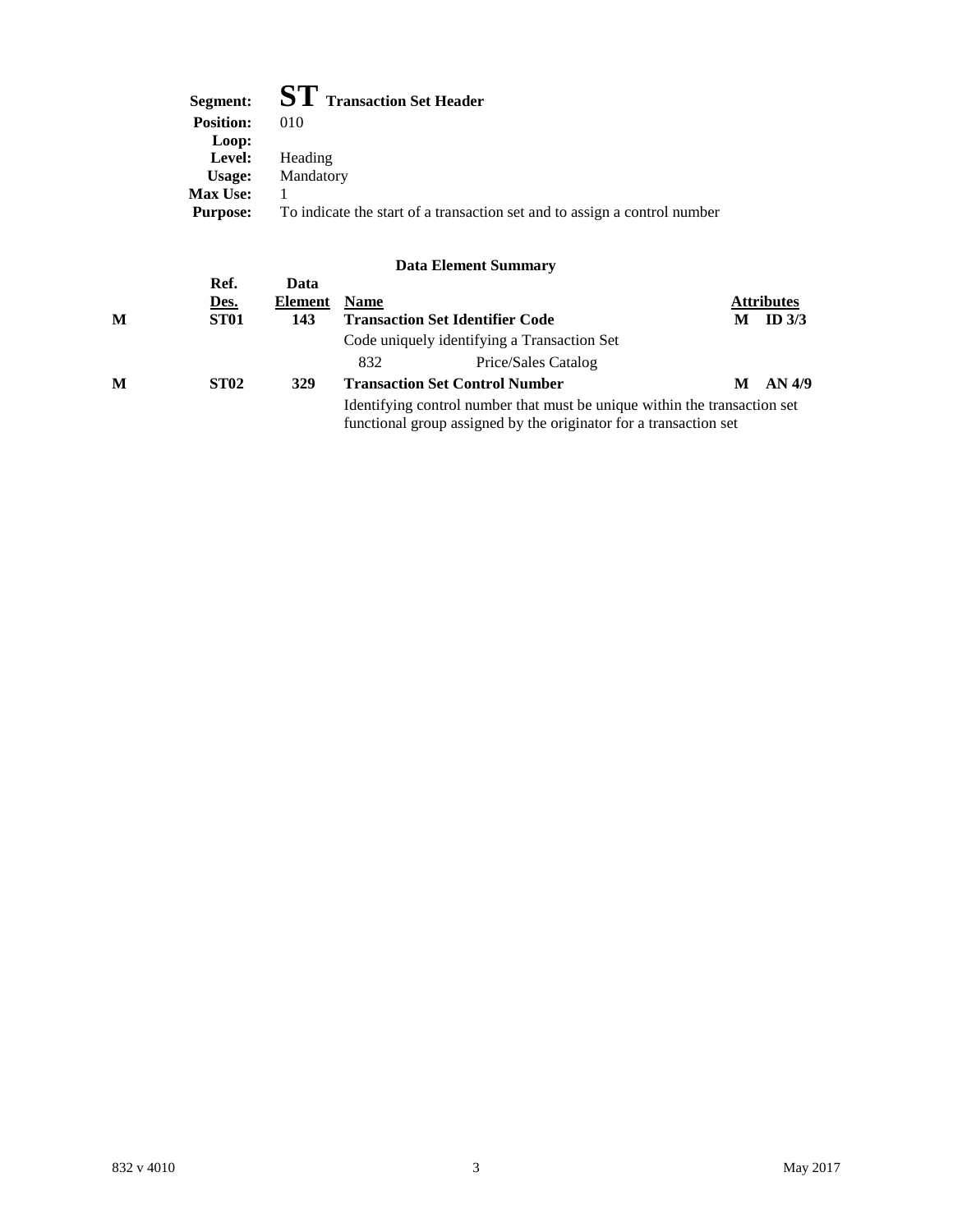| Segment:         | <b>ST</b> Transaction Set Header                                          |
|------------------|---------------------------------------------------------------------------|
| <b>Position:</b> | 010                                                                       |
| Loop:            |                                                                           |
| Level:           | Heading                                                                   |
| Usage:           | Mandatory                                                                 |
| <b>Max Use:</b>  |                                                                           |
| <b>Purpose:</b>  | To indicate the start of a transaction set and to assign a control number |

| M | Ref.<br><u>Des.</u><br>ST <sub>01</sub> | Data<br>Element<br>143 | <b>Name</b>                                                                                                                                    | <b>Transaction Set Identifier Code</b>      | М | <b>Attributes</b><br>ID $3/3$ |  |  |
|---|-----------------------------------------|------------------------|------------------------------------------------------------------------------------------------------------------------------------------------|---------------------------------------------|---|-------------------------------|--|--|
|   |                                         |                        |                                                                                                                                                | Code uniquely identifying a Transaction Set |   |                               |  |  |
|   |                                         |                        | 832                                                                                                                                            | Price/Sales Catalog                         |   |                               |  |  |
| M | <b>ST02</b>                             | 329                    |                                                                                                                                                | <b>Transaction Set Control Number</b>       | М | AN 4/9                        |  |  |
|   |                                         |                        | Identifying control number that must be unique within the transaction set<br>functional group assigned by the originator for a transaction set |                                             |   |                               |  |  |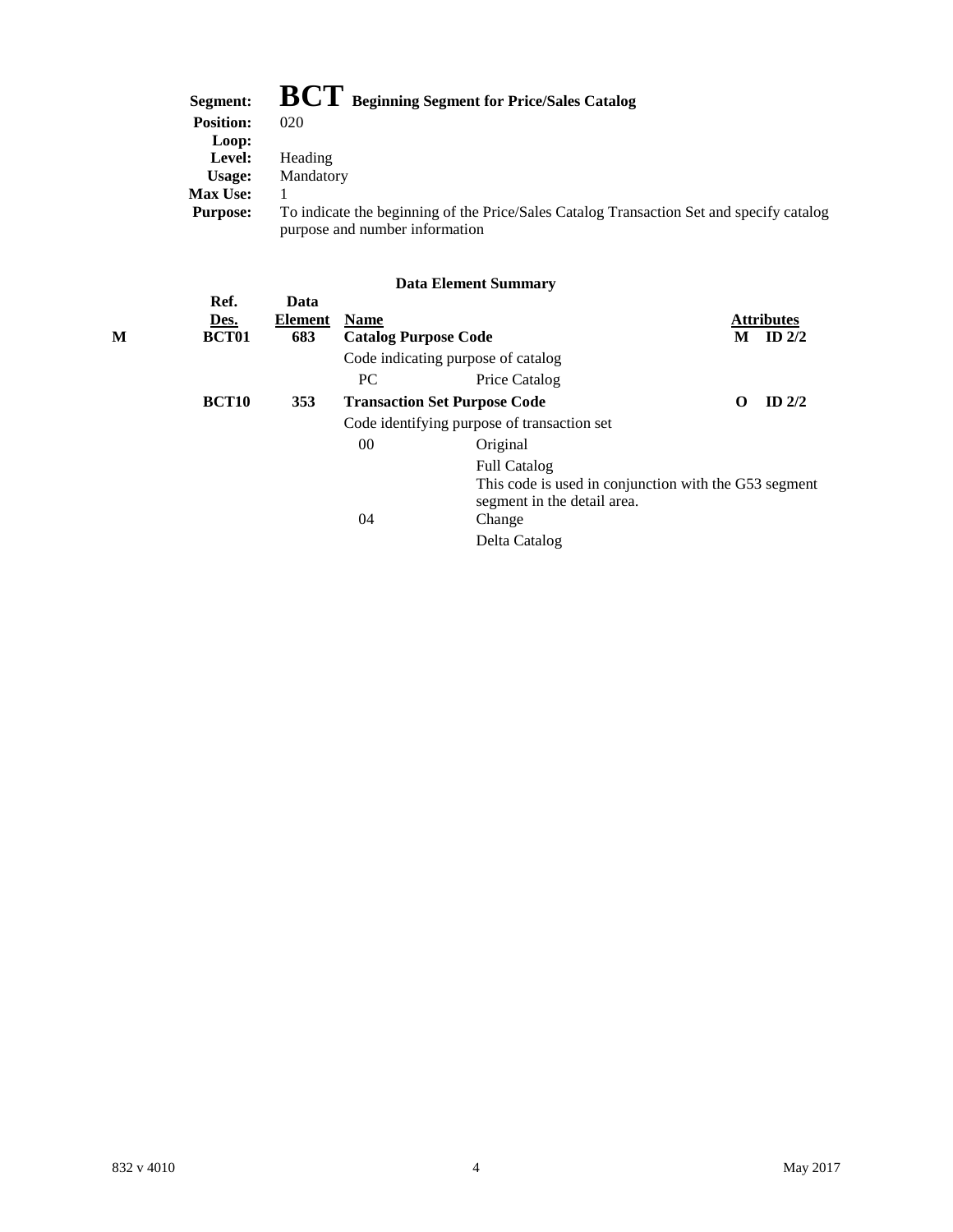| Segment:         | $\mathbf{BCT}$ Beginning Segment for Price/Sales Catalog                                                                   |
|------------------|----------------------------------------------------------------------------------------------------------------------------|
| <b>Position:</b> | 020                                                                                                                        |
| Loop:            |                                                                                                                            |
| Level:           | Heading                                                                                                                    |
| Usage:           | Mandatory                                                                                                                  |
| <b>Max Use:</b>  |                                                                                                                            |
| <b>Purpose:</b>  | To indicate the beginning of the Price/Sales Catalog Transaction Set and specify catalog<br>purpose and number information |

| М | Ref.<br>Des.<br><b>BCT01</b> | Data<br><b>Element</b><br>683 | <b>Name</b> | <b>Catalog Purpose Code</b>                                                          | М        | <b>Attributes</b><br>ID $2/2$ |
|---|------------------------------|-------------------------------|-------------|--------------------------------------------------------------------------------------|----------|-------------------------------|
|   |                              |                               |             | Code indicating purpose of catalog                                                   |          |                               |
|   |                              |                               | PC.         | Price Catalog                                                                        |          |                               |
|   | <b>BCT10</b>                 | 353                           |             | <b>Transaction Set Purpose Code</b>                                                  | $\Omega$ | ID $2/2$                      |
|   |                              |                               |             | Code identifying purpose of transaction set                                          |          |                               |
|   |                              |                               | $00\,$      | Original                                                                             |          |                               |
|   |                              |                               |             | <b>Full Catalog</b>                                                                  |          |                               |
|   |                              |                               |             | This code is used in conjunction with the G53 segment<br>segment in the detail area. |          |                               |
|   |                              |                               | 04          | Change                                                                               |          |                               |
|   |                              |                               |             | Delta Catalog                                                                        |          |                               |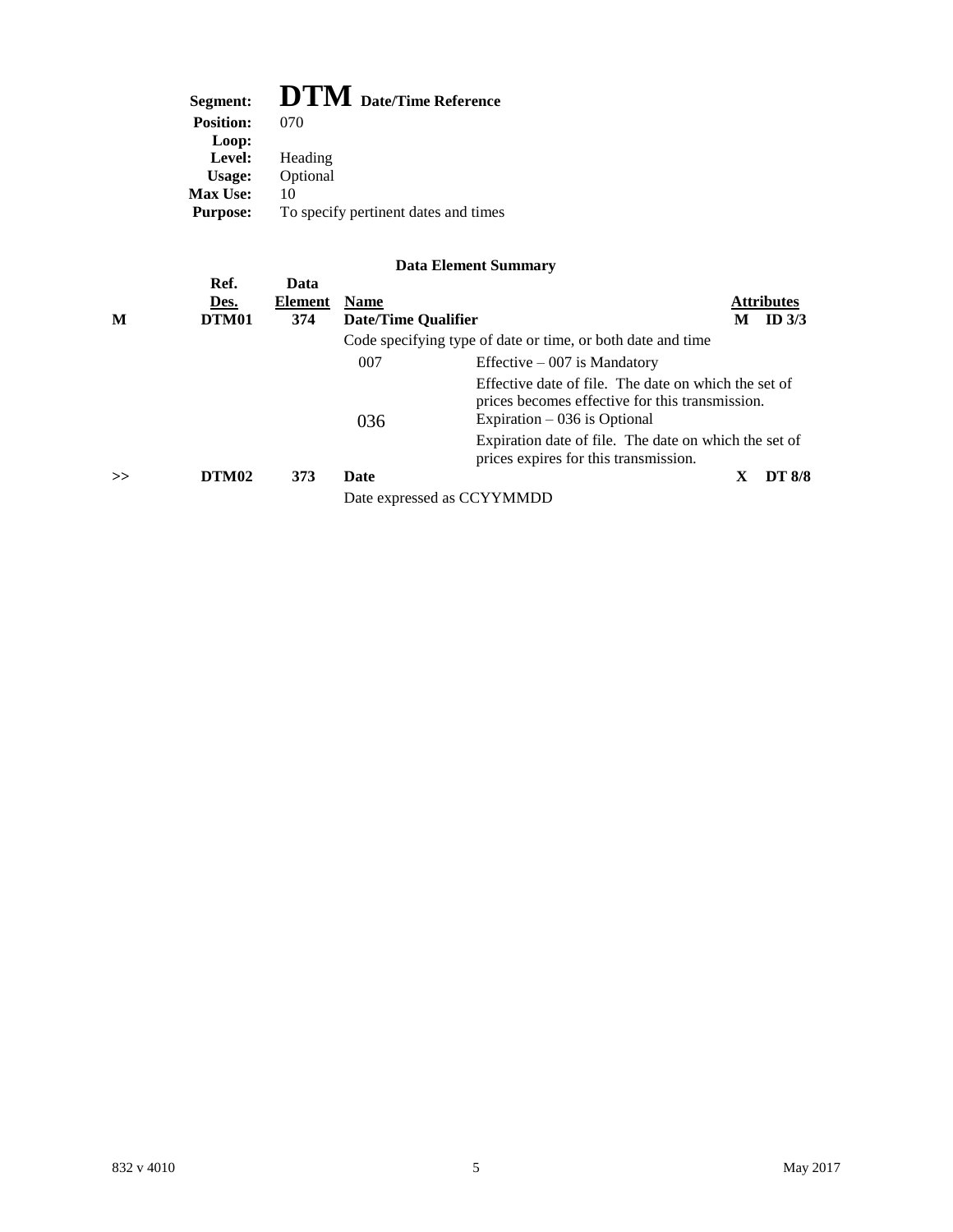## **Segment: DTM Date/Time Reference**

| <u>.</u>         | Date Thin Reference                  |
|------------------|--------------------------------------|
| <b>Position:</b> | (170)                                |
| Loop:            |                                      |
| Level:           | Heading                              |
| Usage:           | Optional                             |
| <b>Max Use:</b>  | 10                                   |
| <b>Purpose:</b>  | To specify pertinent dates and times |
|                  |                                      |

| M | Ref.<br>Des.<br>DTM01 | Data<br><b>Element</b><br>374 | <b>Name</b><br><b>Date/Time Qualifier</b> |                                                                                                                                          | M | <b>Attributes</b><br>ID $3/3$ |  |
|---|-----------------------|-------------------------------|-------------------------------------------|------------------------------------------------------------------------------------------------------------------------------------------|---|-------------------------------|--|
|   |                       |                               |                                           | Code specifying type of date or time, or both date and time                                                                              |   |                               |  |
|   |                       |                               | 007                                       | Effective $-007$ is Mandatory                                                                                                            |   |                               |  |
|   |                       |                               | 036                                       | Effective date of file. The date on which the set of<br>prices becomes effective for this transmission.<br>Expiration $-036$ is Optional |   |                               |  |
|   |                       |                               |                                           | Expiration date of file. The date on which the set of<br>prices expires for this transmission.                                           |   |                               |  |
| > | DTM <sub>02</sub>     | 373                           | <b>Date</b>                               |                                                                                                                                          | X | <b>DT 8/8</b>                 |  |
|   |                       |                               | Date expressed as CCYYMMDD                |                                                                                                                                          |   |                               |  |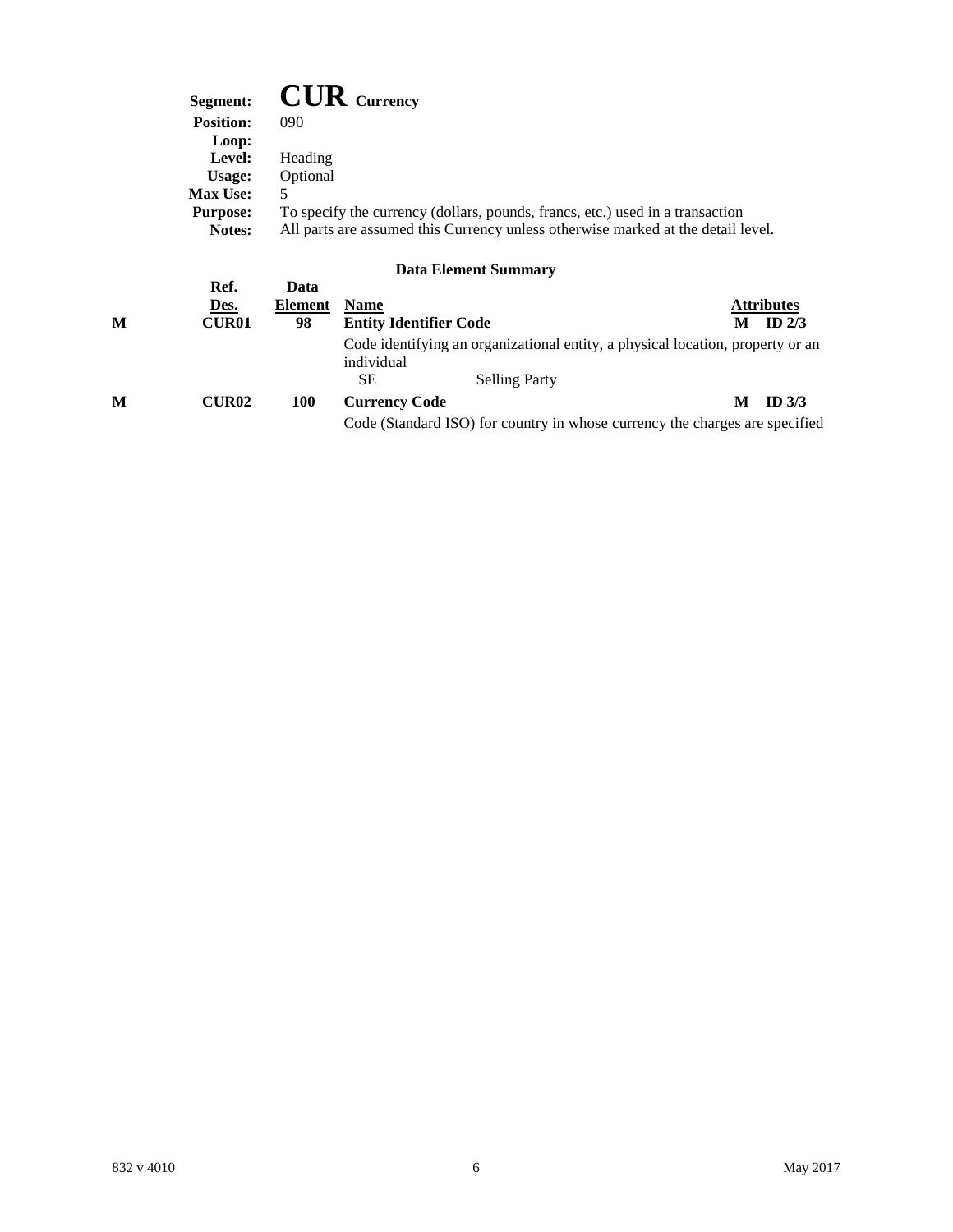| Segment:         | $\mathbf{C}\mathbf{U}\mathbf{R}$ Currency                                        |
|------------------|----------------------------------------------------------------------------------|
| <b>Position:</b> | 090                                                                              |
| Loop:            |                                                                                  |
| Level:           | Heading                                                                          |
| Usage:           | Optional                                                                         |
| <b>Max Use:</b>  | 5                                                                                |
| <b>Purpose:</b>  | To specify the currency (dollars, pounds, francs, etc.) used in a transaction    |
| <b>Notes:</b>    | All parts are assumed this Currency unless otherwise marked at the detail level. |

|   | Ref.         | Data    |                               |                                                                                |   |                   |
|---|--------------|---------|-------------------------------|--------------------------------------------------------------------------------|---|-------------------|
|   | Des.         | Element | <b>Name</b>                   |                                                                                |   | <b>Attributes</b> |
| M | <b>CUR01</b> | 98      | <b>Entity Identifier Code</b> |                                                                                | М | ID $2/3$          |
|   |              |         | individual                    | Code identifying an organizational entity, a physical location, property or an |   |                   |
|   |              |         | SЕ                            | <b>Selling Party</b>                                                           |   |                   |
| M | <b>CUR02</b> | 100     | <b>Currency Code</b>          |                                                                                | М | ID $3/3$          |
|   |              |         |                               | Code (Standard ISO) for country in whose currency the charges are specified    |   |                   |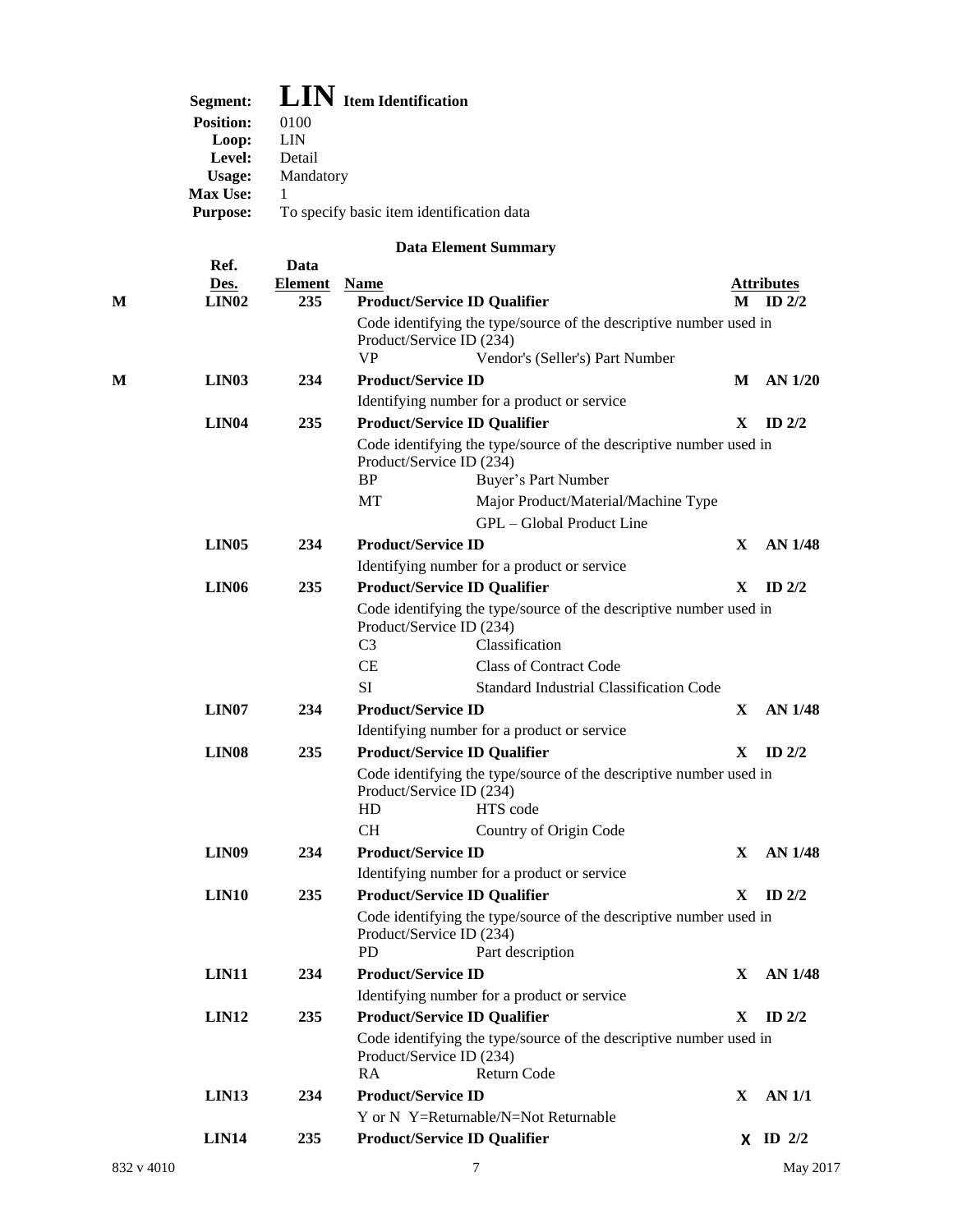|   | Segment:                  |                       | <b>LIN</b> Item Identification            |                                                                                |              |                                   |
|---|---------------------------|-----------------------|-------------------------------------------|--------------------------------------------------------------------------------|--------------|-----------------------------------|
|   | <b>Position:</b>          | 0100                  |                                           |                                                                                |              |                                   |
|   | Loop:                     | <b>LIN</b>            |                                           |                                                                                |              |                                   |
|   | Level:                    | Detail                |                                           |                                                                                |              |                                   |
|   | <b>Usage:</b>             | Mandatory             |                                           |                                                                                |              |                                   |
|   | Max Use:                  | 1                     |                                           |                                                                                |              |                                   |
|   | <b>Purpose:</b>           |                       | To specify basic item identification data |                                                                                |              |                                   |
|   |                           |                       |                                           | <b>Data Element Summary</b>                                                    |              |                                   |
|   | Ref.                      | Data                  |                                           |                                                                                |              |                                   |
| M | Des.<br>LIN <sub>02</sub> | <b>Element</b><br>235 | <b>Name</b>                               | <b>Product/Service ID Qualifier</b>                                            |              | <b>Attributes</b><br>$M$ ID $2/2$ |
|   |                           |                       | Product/Service ID (234)                  | Code identifying the type/source of the descriptive number used in             |              |                                   |
|   |                           |                       | <b>VP</b>                                 | Vendor's (Seller's) Part Number                                                |              |                                   |
| М | <b>LIN03</b>              | 234                   | <b>Product/Service ID</b>                 |                                                                                | M            | $AN$ 1/20                         |
|   |                           |                       |                                           | Identifying number for a product or service                                    |              |                                   |
|   |                           |                       |                                           |                                                                                |              |                                   |
|   | <b>LIN04</b>              | 235                   |                                           | <b>Product/Service ID Qualifier</b>                                            | $\mathbf{X}$ | ID $2/2$                          |
|   |                           |                       |                                           | Code identifying the type/source of the descriptive number used in             |              |                                   |
|   |                           |                       | Product/Service ID (234)<br><b>BP</b>     | Buyer's Part Number                                                            |              |                                   |
|   |                           |                       | MT                                        | Major Product/Material/Machine Type                                            |              |                                   |
|   |                           |                       |                                           |                                                                                |              |                                   |
|   |                           |                       |                                           | GPL – Global Product Line                                                      |              |                                   |
|   | <b>LIN05</b>              | 234                   | <b>Product/Service ID</b>                 |                                                                                | X.           | <b>AN 1/48</b>                    |
|   |                           |                       |                                           | Identifying number for a product or service                                    |              |                                   |
|   | <b>LIN06</b>              | 235                   |                                           | <b>Product/Service ID Qualifier</b>                                            | X            | ID $2/2$                          |
|   |                           |                       |                                           | Code identifying the type/source of the descriptive number used in             |              |                                   |
|   |                           |                       | Product/Service ID (234)                  |                                                                                |              |                                   |
|   |                           |                       | C <sub>3</sub>                            | Classification                                                                 |              |                                   |
|   |                           |                       | CE                                        | <b>Class of Contract Code</b>                                                  |              |                                   |
|   |                           |                       | SI                                        | Standard Industrial Classification Code                                        |              |                                   |
|   | LIN <sub>07</sub>         | 234                   | <b>Product/Service ID</b>                 |                                                                                | X            | <b>AN 1/48</b>                    |
|   |                           |                       |                                           | Identifying number for a product or service                                    |              |                                   |
|   | <b>LIN08</b>              | 235                   |                                           | <b>Product/Service ID Qualifier</b>                                            | X            | ID $2/2$                          |
|   |                           |                       | Product/Service ID (234)<br>HD            | Code identifying the type/source of the descriptive number used in<br>HTS code |              |                                   |
|   |                           |                       |                                           |                                                                                |              |                                   |
|   |                           |                       | <b>CH</b>                                 | Country of Origin Code                                                         |              |                                   |
|   | <b>LIN09</b>              | 234                   | <b>Product/Service ID</b>                 |                                                                                | X.           | AN 1/48                           |
|   |                           |                       |                                           | Identifying number for a product or service                                    |              |                                   |
|   | <b>LIN10</b>              | 235                   |                                           | <b>Product/Service ID Qualifier</b>                                            | X            | ID $2/2$                          |
|   |                           |                       | Product/Service ID (234)                  | Code identifying the type/source of the descriptive number used in             |              |                                   |
|   |                           |                       | <b>PD</b>                                 | Part description                                                               |              |                                   |
|   | LIN11                     | 234                   | <b>Product/Service ID</b>                 |                                                                                | X.           | AN 1/48                           |
|   |                           |                       |                                           | Identifying number for a product or service                                    |              |                                   |
|   | <b>LIN12</b>              | 235                   |                                           | <b>Product/Service ID Qualifier</b>                                            | X            | ID $2/2$                          |
|   |                           |                       |                                           |                                                                                |              |                                   |
|   |                           |                       | Product/Service ID (234)                  | Code identifying the type/source of the descriptive number used in             |              |                                   |
|   |                           |                       | RA                                        | Return Code                                                                    |              |                                   |
|   | <b>LIN13</b>              | 234                   | <b>Product/Service ID</b>                 |                                                                                | X.           | AN 1/1                            |
|   |                           |                       |                                           | Y or N Y=Returnable/N=Not Returnable                                           |              |                                   |
|   | <b>LIN14</b>              | 235                   |                                           | <b>Product/Service ID Qualifier</b>                                            |              | $\chi$ ID $2/2$                   |
|   |                           |                       |                                           |                                                                                |              |                                   |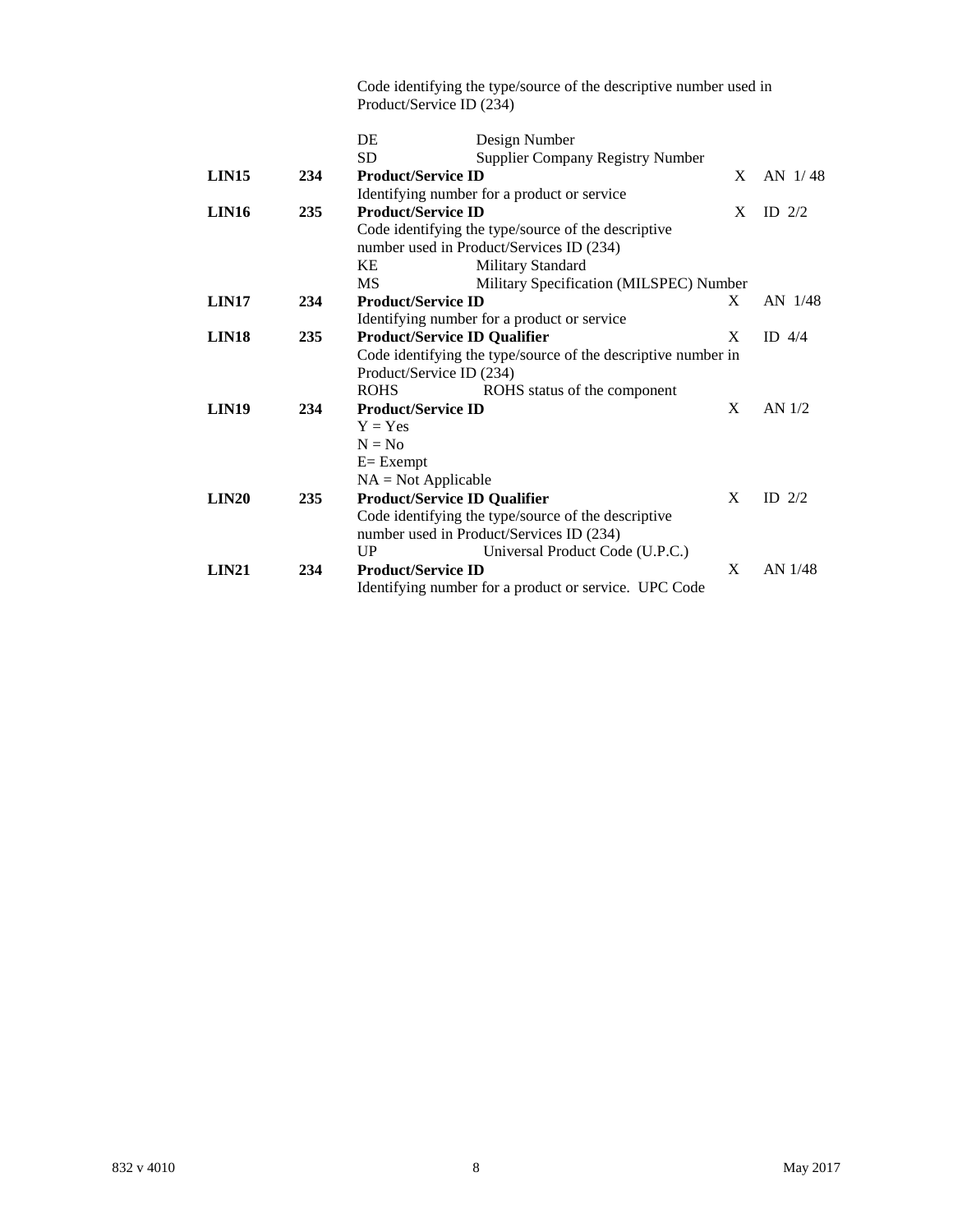Code identifying the type/source of the descriptive number used in Product/Service ID (234)

|                   |     | DE<br>Design Number                                           |   |          |
|-------------------|-----|---------------------------------------------------------------|---|----------|
|                   |     | <b>SD</b><br><b>Supplier Company Registry Number</b>          |   |          |
| LIN <sub>15</sub> | 234 | <b>Product/Service ID</b>                                     | X | AN 1/48  |
|                   |     | Identifying number for a product or service                   |   |          |
| LIN <sub>16</sub> | 235 | <b>Product/Service ID</b>                                     | X | ID $2/2$ |
|                   |     | Code identifying the type/source of the descriptive           |   |          |
|                   |     | number used in Product/Services ID (234)                      |   |          |
|                   |     | Military Standard<br>KE                                       |   |          |
|                   |     | <b>MS</b><br>Military Specification (MILSPEC) Number          |   |          |
| LIN <sub>17</sub> | 234 | <b>Product/Service ID</b>                                     | X | AN 1/48  |
|                   |     | Identifying number for a product or service                   |   |          |
| LIN <sub>18</sub> | 235 | <b>Product/Service ID Qualifier</b>                           | X | ID $4/4$ |
|                   |     | Code identifying the type/source of the descriptive number in |   |          |
|                   |     | Product/Service ID (234)                                      |   |          |
|                   |     | <b>ROHS</b><br>ROHS status of the component                   |   |          |
| LIN <sub>19</sub> | 234 | <b>Product/Service ID</b>                                     | X | AN $1/2$ |
|                   |     | $Y = Yes$                                                     |   |          |
|                   |     | $N = No$                                                      |   |          |
|                   |     | $E = Exempt$                                                  |   |          |
|                   |     | $NA = Not Applicable$                                         |   |          |
| LIN20             | 235 | <b>Product/Service ID Qualifier</b>                           | X | ID $2/2$ |
|                   |     | Code identifying the type/source of the descriptive           |   |          |
|                   |     | number used in Product/Services ID (234)                      |   |          |
|                   |     | UP<br>Universal Product Code (U.P.C.)                         |   |          |
| LIN21             | 234 | <b>Product/Service ID</b>                                     | X | AN 1/48  |
|                   |     | Identifying number for a product or service. UPC Code         |   |          |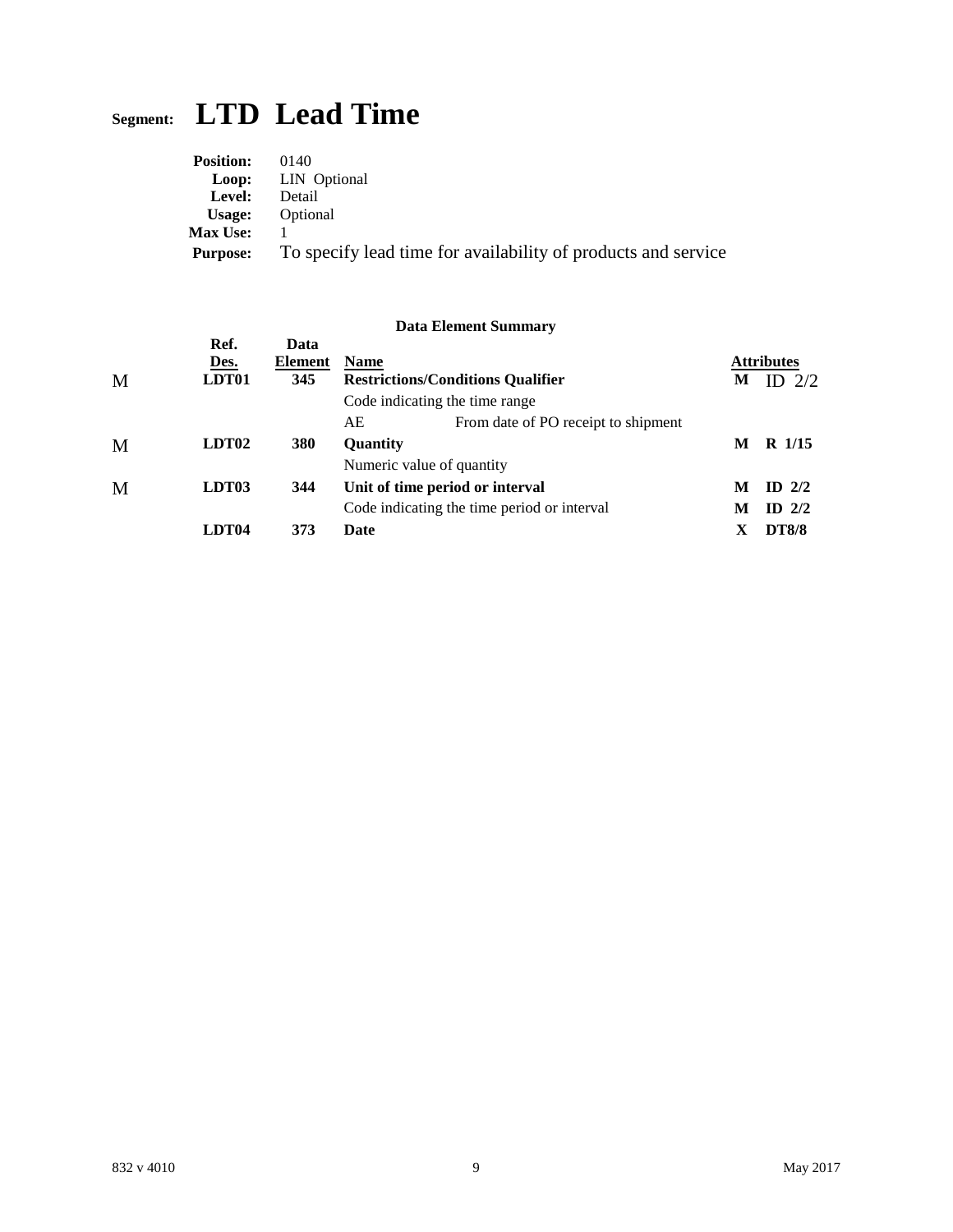# **Segment: LTD Lead Time**

| <b>Position:</b> | (1140)                                                        |
|------------------|---------------------------------------------------------------|
|                  | <b>Loop:</b> LIN Optional                                     |
| Level:           | Detail                                                        |
| Usage:           | Optional                                                      |
| <b>Max Use:</b>  |                                                               |
| Purpose:         | To specify lead time for availability of products and service |

|   |                       |                        |                 | <b>Data Element Summary</b>                 |   |                                 |
|---|-----------------------|------------------------|-----------------|---------------------------------------------|---|---------------------------------|
| M | Ref.<br>Des.<br>LDT01 | Data<br>Element<br>345 | <b>Name</b>     | <b>Restrictions/Conditions Qualifier</b>    | М | <b>Attributes</b><br>2/2<br>ID. |
|   |                       |                        |                 | Code indicating the time range              |   |                                 |
|   |                       |                        | AE              | From date of PO receipt to shipment         |   |                                 |
| M | LDT <sub>02</sub>     | 380                    | <b>Ouantity</b> |                                             | M | R 1/15                          |
|   |                       |                        |                 | Numeric value of quantity                   |   |                                 |
| M | LDT <sub>03</sub>     | 344                    |                 | Unit of time period or interval             | M | $ID$ 2/2                        |
|   |                       |                        |                 | Code indicating the time period or interval | M | ID $2/2$                        |
|   | LDT <sub>04</sub>     | 373                    | Date            |                                             | Х | <b>DT8/8</b>                    |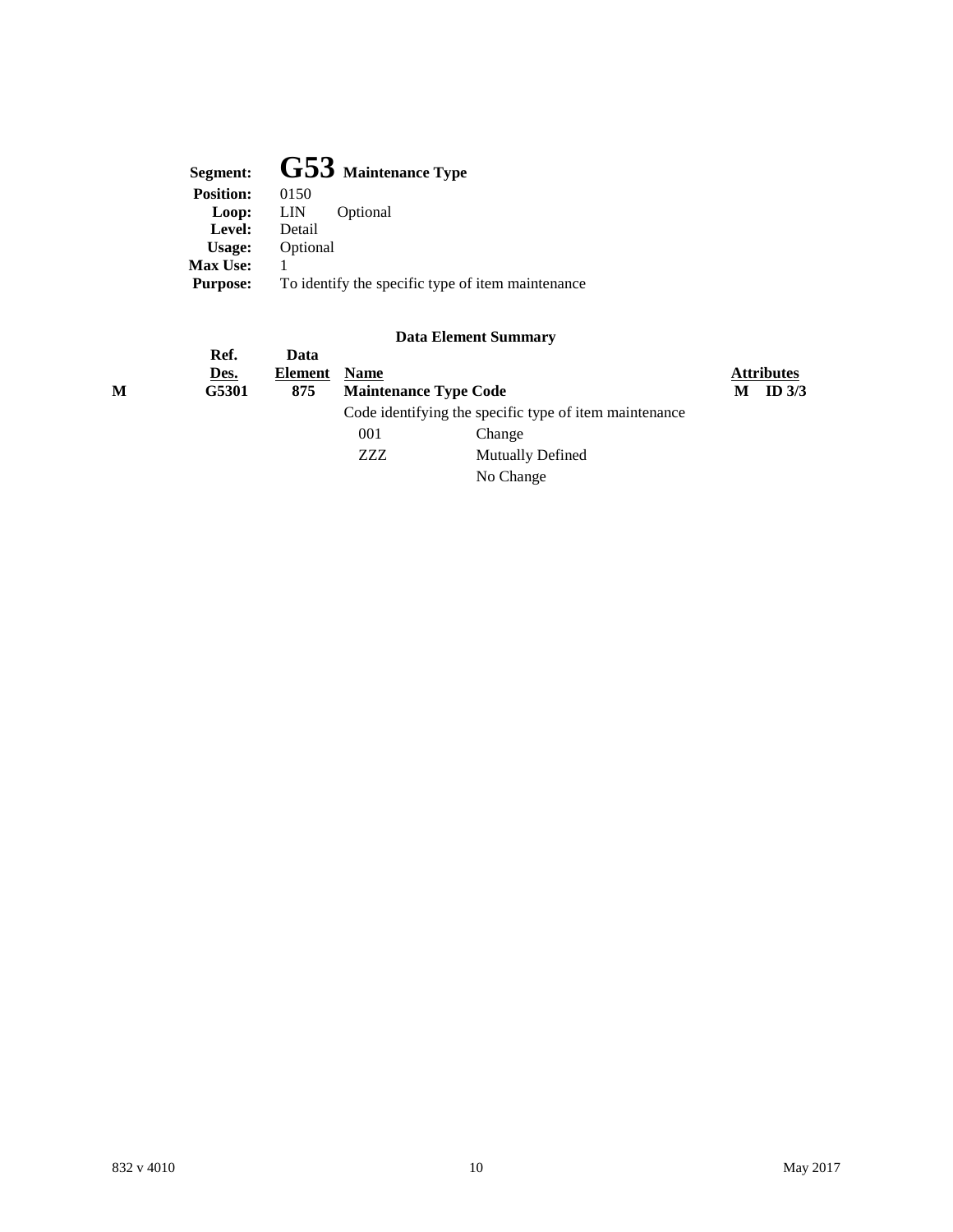| Segment:         | $G53$ Maintenance Type                            |
|------------------|---------------------------------------------------|
| <b>Position:</b> | 0150                                              |
| Loop:            | Optional<br>LIN                                   |
| Level:           | Detail                                            |
| Usage:           | Optional                                          |
| <b>Max Use:</b>  |                                                   |
| <b>Purpose:</b>  | To identify the specific type of item maintenance |
|                  |                                                   |

|   |       |         |             | рата елешент эшпинагу                                  |   |                   |
|---|-------|---------|-------------|--------------------------------------------------------|---|-------------------|
|   | Ref.  | Data    |             |                                                        |   |                   |
|   | Des.  | Element | <b>Name</b> |                                                        |   | <b>Attributes</b> |
| M | G5301 | 875     |             | <b>Maintenance Type Code</b>                           | М | ID $3/3$          |
|   |       |         |             | Code identifying the specific type of item maintenance |   |                   |
|   |       |         | 001         | Change                                                 |   |                   |
|   |       |         | ZZZ         | Mutually Defined                                       |   |                   |
|   |       |         |             | No Change                                              |   |                   |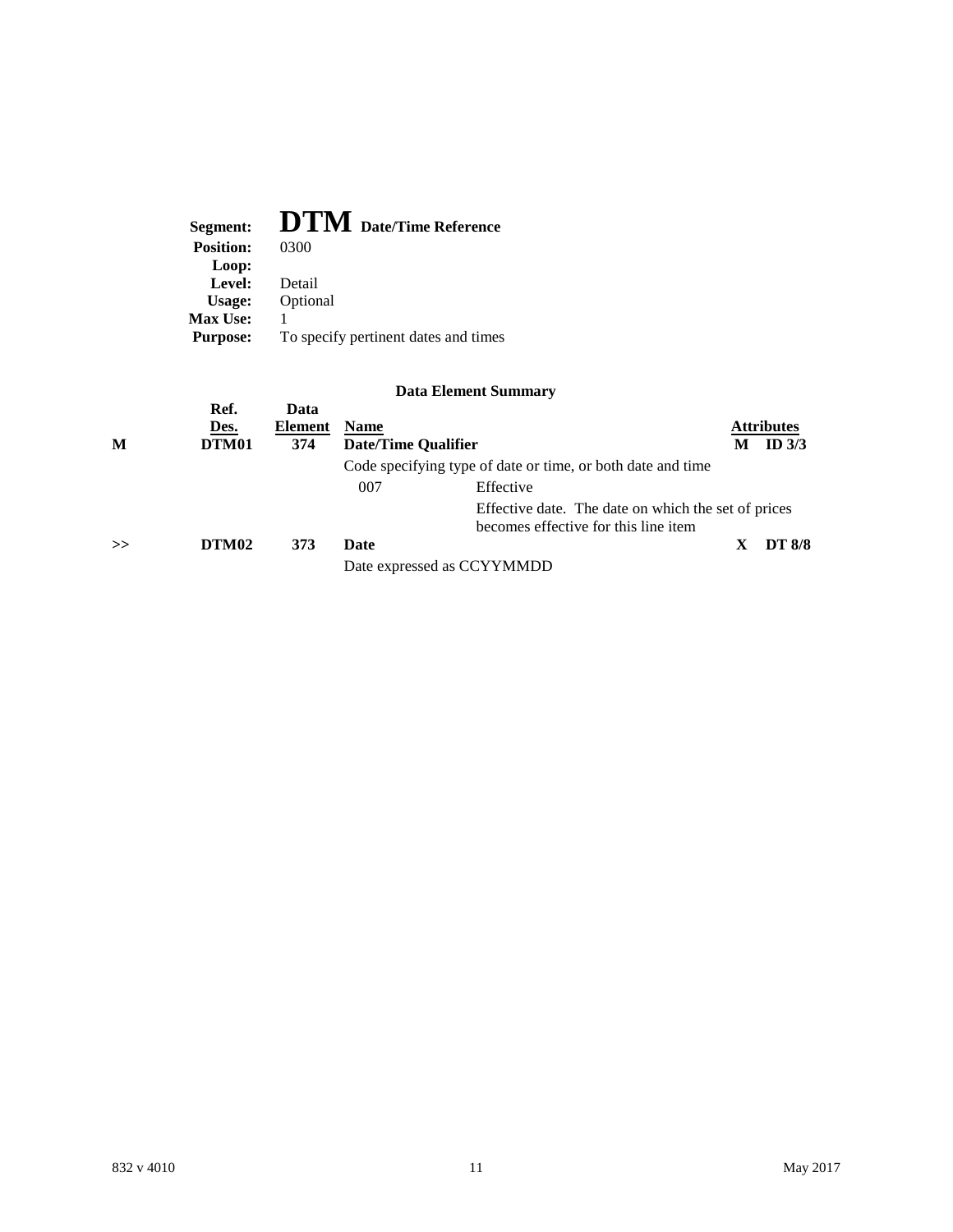| Segment:         | <b>DTM</b> Date/Time Reference       |
|------------------|--------------------------------------|
| <b>Position:</b> | 0300                                 |
| Loop:            |                                      |
| Level:           | Detail                               |
| Usage:           | Optional                             |
| <b>Max Use:</b>  |                                      |
| <b>Purpose:</b>  | To specify pertinent dates and times |

| M | Ref.<br>Des.<br>DTM01 | Data<br>Element<br>374 | <b>Name</b><br><b>Date/Time Qualifier</b> | Code specifying type of date or time, or both date and time | <b>Attributes</b><br>ID $3/3$ |
|---|-----------------------|------------------------|-------------------------------------------|-------------------------------------------------------------|-------------------------------|
|   |                       |                        | 007                                       | Effective                                                   |                               |
|   |                       |                        |                                           |                                                             |                               |
|   |                       |                        |                                           | Effective date. The date on which the set of prices         |                               |
|   |                       |                        |                                           | becomes effective for this line item                        |                               |
| > | DTM <sub>02</sub>     | 373                    | Date                                      |                                                             | <b>DT 8/8</b>                 |
|   |                       |                        |                                           | Date expressed as CCYYMMDD                                  |                               |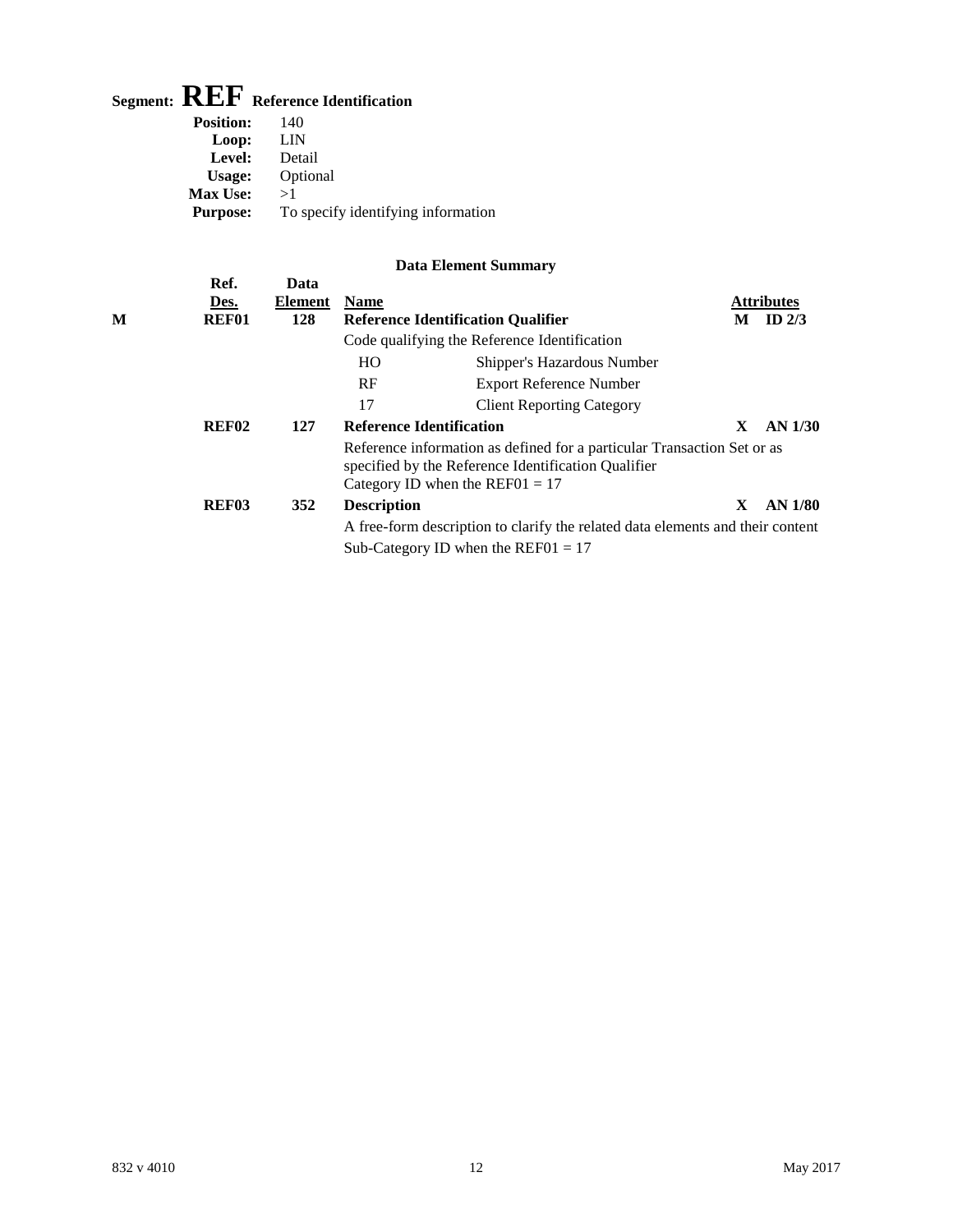# **Segment: REF Reference Identification**

**Ref. Data**

| <b>Position:</b> | 140                                |
|------------------|------------------------------------|
| Loop:            | LIN                                |
| Level:           | Detail                             |
| Usage:           | Optional                           |
| <b>Max Use:</b>  | >1                                 |
| <b>Purpose:</b>  | To specify identifying information |

|   | Des.              | <b>Element</b> | <b>Name</b>        |                                                                                                                                                                     |    | <b>Attributes</b> |
|---|-------------------|----------------|--------------------|---------------------------------------------------------------------------------------------------------------------------------------------------------------------|----|-------------------|
| М | <b>REF01</b>      | 128            |                    | <b>Reference Identification Qualifier</b>                                                                                                                           | М  | ID $2/3$          |
|   |                   |                |                    | Code qualifying the Reference Identification                                                                                                                        |    |                   |
|   |                   |                | HO                 | Shipper's Hazardous Number                                                                                                                                          |    |                   |
|   |                   |                | RF                 | <b>Export Reference Number</b>                                                                                                                                      |    |                   |
|   |                   |                | 17                 | <b>Client Reporting Category</b>                                                                                                                                    |    |                   |
|   | <b>REF02</b>      | 127            |                    | <b>Reference Identification</b>                                                                                                                                     | X  | <b>AN 1/30</b>    |
|   |                   |                |                    | Reference information as defined for a particular Transaction Set or as<br>specified by the Reference Identification Qualifier<br>Category ID when the REF01 = $17$ |    |                   |
|   | REF <sub>03</sub> | 352            | <b>Description</b> |                                                                                                                                                                     | X. | $AN$ 1/80         |
|   |                   |                |                    | A free-form description to clarify the related data elements and their content                                                                                      |    |                   |
|   |                   |                |                    | Sub-Category ID when the REF01 = $17$                                                                                                                               |    |                   |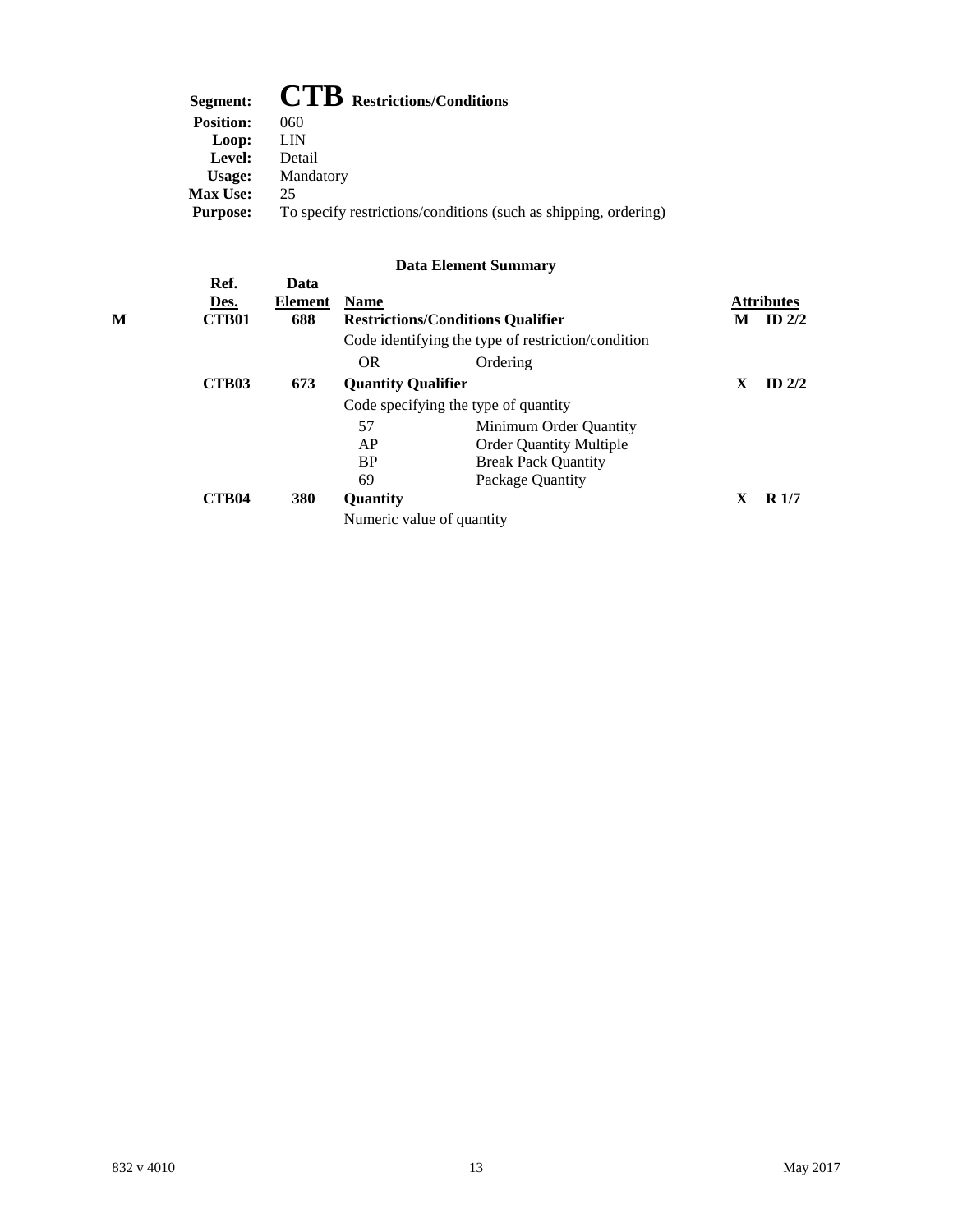| Segment:         | $\mathbf{CTB}$ Restrictions/Conditions                          |
|------------------|-----------------------------------------------------------------|
| <b>Position:</b> | 060                                                             |
| Loop:            | LIN                                                             |
| Level:           | Detail                                                          |
| Usage:           | Mandatory                                                       |
| <b>Max Use:</b>  | 25                                                              |
| <b>Purpose:</b>  | To specify restrictions/conditions (such as shipping, ordering) |
|                  |                                                                 |

| Ref.<br>Des.<br><b>CTB01</b> | Data<br><b>Element</b><br>688 | <b>Name</b> |                                | M                                                                                                                                                                                                | <b>Attributes</b><br>ID $2/2$ |
|------------------------------|-------------------------------|-------------|--------------------------------|--------------------------------------------------------------------------------------------------------------------------------------------------------------------------------------------------|-------------------------------|
|                              |                               |             |                                |                                                                                                                                                                                                  |                               |
|                              |                               | <b>OR</b>   | Ordering                       |                                                                                                                                                                                                  |                               |
| <b>CTB03</b>                 | 673                           |             |                                | X                                                                                                                                                                                                | ID $2/2$                      |
|                              |                               |             |                                |                                                                                                                                                                                                  |                               |
|                              |                               | 57          | Minimum Order Quantity         |                                                                                                                                                                                                  |                               |
|                              |                               | AP          | <b>Order Quantity Multiple</b> |                                                                                                                                                                                                  |                               |
|                              |                               | <b>BP</b>   | <b>Break Pack Quantity</b>     |                                                                                                                                                                                                  |                               |
|                              |                               | 69          | Package Quantity               |                                                                                                                                                                                                  |                               |
| <b>CTB04</b>                 | 380                           | Quantity    |                                | X                                                                                                                                                                                                | R1/7                          |
|                              |                               |             |                                |                                                                                                                                                                                                  |                               |
|                              |                               |             |                                | <b>Restrictions/Conditions Qualifier</b><br>Code identifying the type of restriction/condition<br><b>Quantity Qualifier</b><br>Code specifying the type of quantity<br>Numeric value of quantity |                               |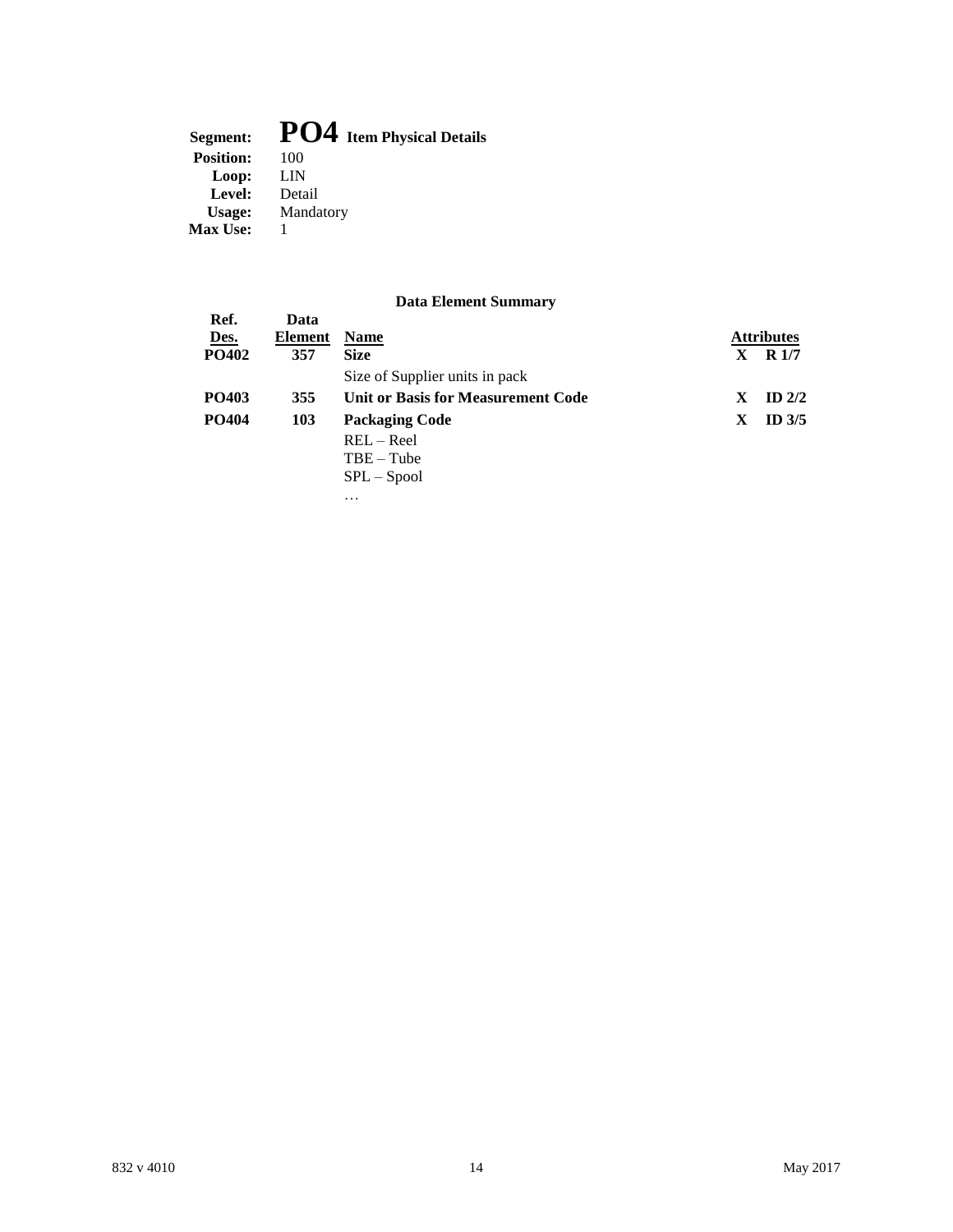### Segment: **PO4** Item Physical Details<br>Position:  $100$ **Position:** 100<br>**Loop:** LIN Loop: **Level:** Detail **Usage:** Mandatory **Max Use:** 1

|              |         | рата еленісці эшпінаі у            |   |                   |
|--------------|---------|------------------------------------|---|-------------------|
| Ref.         | Data    |                                    |   |                   |
| Des.         | Element | <b>Name</b>                        |   | <b>Attributes</b> |
| <b>PO402</b> | 357     | <b>Size</b>                        | X | R 1/7             |
|              |         | Size of Supplier units in pack     |   |                   |
| <b>PO403</b> | 355     | Unit or Basis for Measurement Code | X | ID $2/2$          |
| <b>PO404</b> | 103     | <b>Packaging Code</b>              | X | ID $3/5$          |
|              |         | $REL - Real$                       |   |                   |
|              |         | $TBE - Tub$                        |   |                   |
|              |         | $SPL - Spool$                      |   |                   |
|              |         | .                                  |   |                   |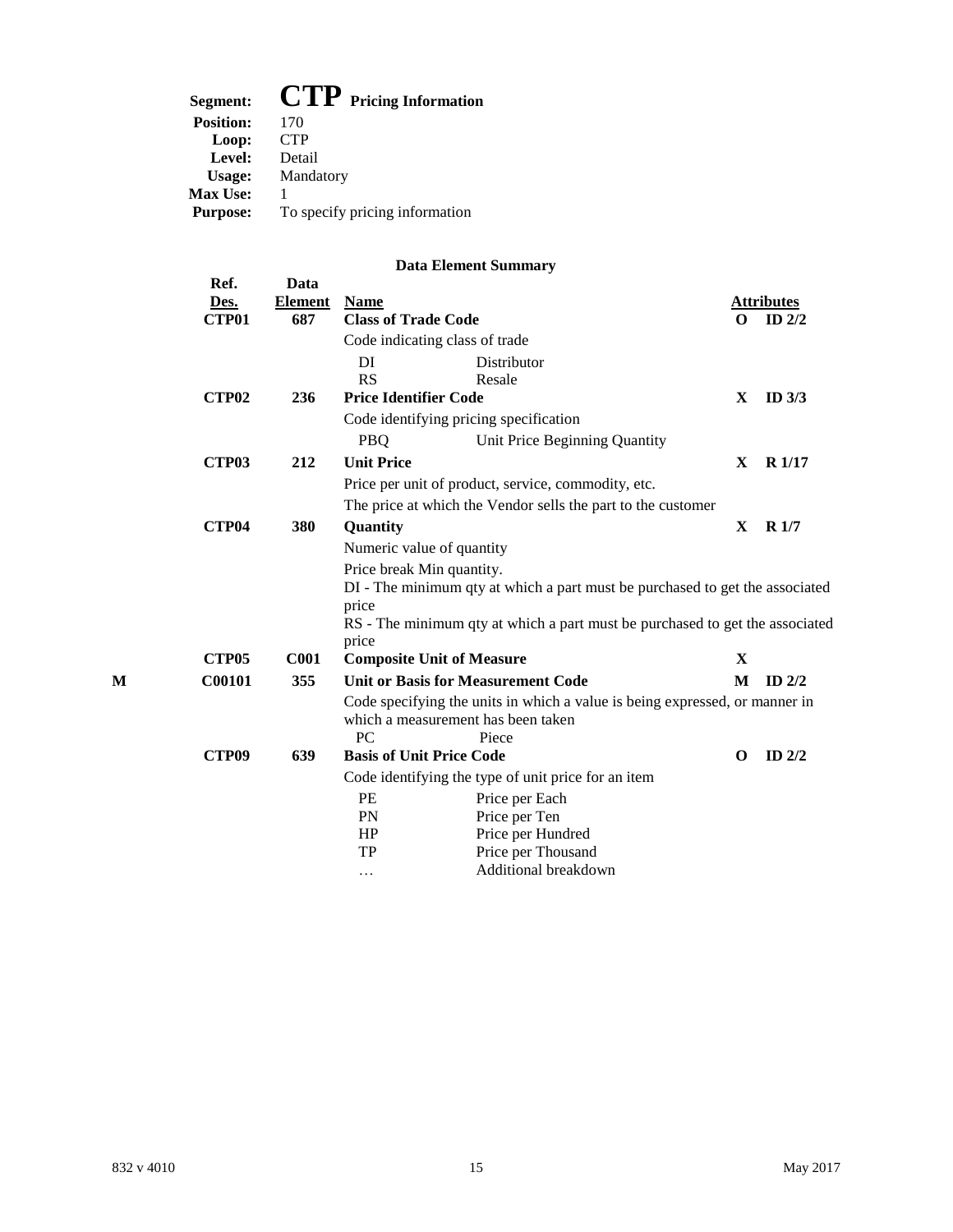| Segment:         | $CIP$ Pricing Information      |
|------------------|--------------------------------|
| <b>Position:</b> | 170                            |
| Loop:            | <b>CTP</b>                     |
| Level:           | Detail                         |
| Usage:           | Mandatory                      |
| <b>Max Use:</b>  |                                |
| <b>Purpose:</b>  | To specify pricing information |

|              |                   |                        |                                 | рата елешент эшиниагу                                                        |              |                   |
|--------------|-------------------|------------------------|---------------------------------|------------------------------------------------------------------------------|--------------|-------------------|
|              | Ref.<br>Des.      | Data<br><b>Element</b> | <b>Name</b>                     |                                                                              |              | <b>Attributes</b> |
| <b>CTP01</b> |                   | 687                    | <b>Class of Trade Code</b>      |                                                                              | O            | ID $2/2$          |
|              |                   |                        |                                 | Code indicating class of trade                                               |              |                   |
|              |                   |                        | DI                              | Distributor                                                                  |              |                   |
|              |                   |                        | <b>RS</b>                       | Resale                                                                       |              |                   |
|              | <b>CTP02</b>      | 236                    | <b>Price Identifier Code</b>    |                                                                              | $\mathbf X$  | ID $3/3$          |
|              |                   |                        |                                 | Code identifying pricing specification                                       |              |                   |
|              |                   |                        | <b>PBQ</b>                      | Unit Price Beginning Quantity                                                |              |                   |
|              | <b>CTP03</b>      | 212                    | <b>Unit Price</b>               |                                                                              | X            | R1/17             |
|              |                   |                        |                                 | Price per unit of product, service, commodity, etc.                          |              |                   |
|              |                   |                        |                                 | The price at which the Vendor sells the part to the customer                 |              |                   |
|              | CTP <sub>04</sub> | 380                    | Quantity                        |                                                                              | $\mathbf{X}$ | R <sub>1/7</sub>  |
|              |                   |                        |                                 | Numeric value of quantity                                                    |              |                   |
|              |                   |                        | Price break Min quantity.       |                                                                              |              |                   |
|              |                   |                        |                                 | DI - The minimum qty at which a part must be purchased to get the associated |              |                   |
|              |                   |                        | price                           |                                                                              |              |                   |
|              |                   |                        |                                 | RS - The minimum qty at which a part must be purchased to get the associated |              |                   |
|              |                   |                        | price                           |                                                                              |              |                   |
|              | CTP <sub>05</sub> | C <sub>001</sub>       |                                 | <b>Composite Unit of Measure</b>                                             | X            |                   |
| М            | C00101            | 355                    |                                 | <b>Unit or Basis for Measurement Code</b>                                    | M            | ID $2/2$          |
|              |                   |                        |                                 | Code specifying the units in which a value is being expressed, or manner in  |              |                   |
|              |                   |                        |                                 | which a measurement has been taken                                           |              |                   |
|              |                   |                        | <b>PC</b>                       | Piece                                                                        |              |                   |
|              | CTP <sub>09</sub> | 639                    | <b>Basis of Unit Price Code</b> |                                                                              | $\Omega$     | ID $2/2$          |
|              |                   |                        |                                 | Code identifying the type of unit price for an item                          |              |                   |
|              |                   |                        | PE                              | Price per Each                                                               |              |                   |
|              |                   |                        | <b>PN</b>                       | Price per Ten                                                                |              |                   |
|              |                   |                        | HP                              | Price per Hundred                                                            |              |                   |
|              |                   |                        | TP                              | Price per Thousand                                                           |              |                   |
|              |                   |                        | .                               | Additional breakdown                                                         |              |                   |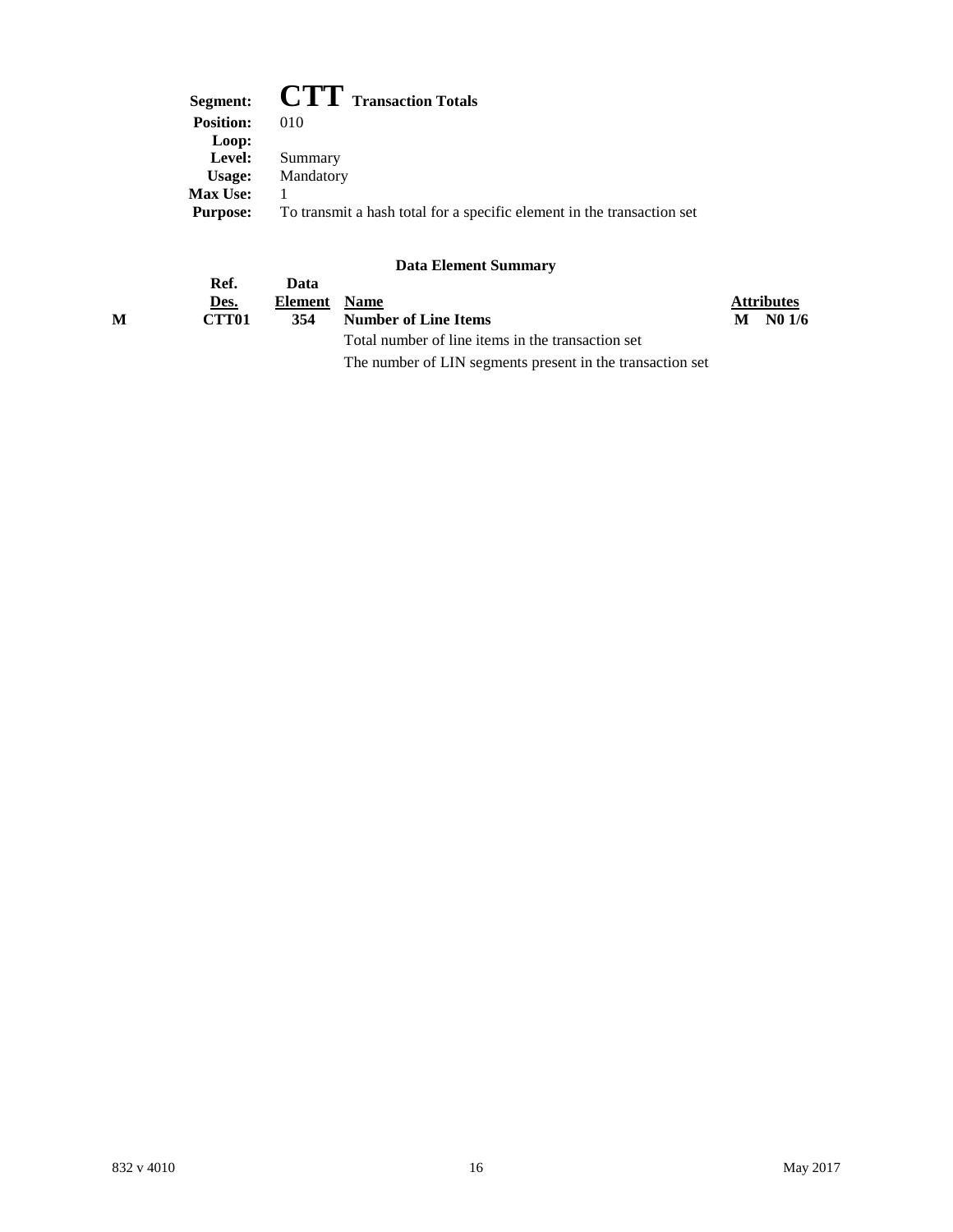| <b>CTT</b> Transaction Totals<br>Segment:                              |
|------------------------------------------------------------------------|
| 010                                                                    |
|                                                                        |
| Summary                                                                |
| Mandatory                                                              |
|                                                                        |
| To transmit a hash total for a specific element in the transaction set |
|                                                                        |

|   |                   |              | Data Littlicht Danning (*                                 |                   |
|---|-------------------|--------------|-----------------------------------------------------------|-------------------|
|   | Ref.              | Data         |                                                           |                   |
|   | Des.              | Element Name |                                                           | <b>Attributes</b> |
| м | CTT <sub>01</sub> | 354          | <b>Number of Line Items</b>                               | $M$ No $1/6$      |
|   |                   |              | Total number of line items in the transaction set         |                   |
|   |                   |              | The number of LIN segments present in the transaction set |                   |